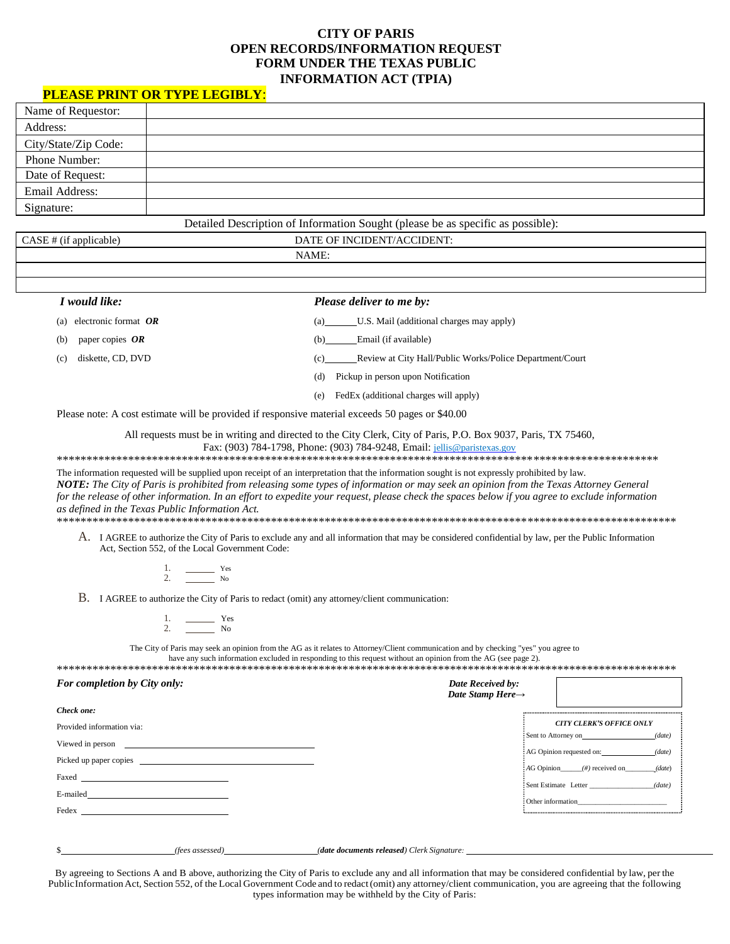## **CITY OF PARIS OPEN RECORDS/INFORMATION REQUEST FORM UNDER THE TEXAS PUBLIC INFORMATION ACT (TPIA)**

## **PLEASE PRINT OR TYPE LEGIBLY**:

| Name of Requestor:   |  |
|----------------------|--|
| Address:             |  |
| City/State/Zip Code: |  |
| Phone Number:        |  |
| Date of Request:     |  |
| Email Address:       |  |
| Signature:           |  |

Detailed Description of Information Sought (please be as specific as possible):

| CASE # (if applicable) |  |
|------------------------|--|
|                        |  |

DATE OF INCIDENT/ACCIDENT: NAME:

| I would like:                 | <b>Please deliver to me by:</b>                                                                  |
|-------------------------------|--------------------------------------------------------------------------------------------------|
| electronic format $OR$<br>(a) | U.S. Mail (additional charges may apply)<br>(a)                                                  |
| paper copies $OR$<br>(b)      | Email (if available)<br>(b)                                                                      |
| diskette, CD, DVD<br>(c)      | Review at City Hall/Public Works/Police Department/Court<br>(c)                                  |
|                               | Pickup in person upon Notification<br>(d)                                                        |
|                               | FedEx (additional charges will apply)<br>(e)                                                     |
|                               | Please note: A cost estimate will be provided if responsive material exceeds 50 pages or \$40.00 |

All requests must be in writing and directed to the City Clerk, City of Paris, P.O. Box 9037, Paris, TX 75460, Fax: (903) 784-1798, Phone: (903) 784-9248, Email: [jellis@paristexas.gov](mailto:jellis@paristexas.gov)

\*\*\*\*\*\*\*\*\*\*\*\*\*\*\*\*\*\*\*\*\*\*\*\*\*\*\*\*\*\*\*\*\*\*\*\*\*\*\*\*\*\*\*\*\*\*\*\*\*\*\*\*\*\*\*\*\*\*\*\*\*\*\*\*\*\*\*\*\*\*\*\*\*\*\*\*\*\*\*\*\*\*\*\*\*\*\*\*\*\*\*\*\*\*\*\*\*\*\*\*\*

The information requested will be supplied upon receipt of an interpretation that the information sought is not expressly prohibited by law. *NOTE: The City of Paris is prohibited from releasing some types of information or may seek an opinion from the Texas Attorney General for the release of other information. In an effort to expedite your request, please check the spaces below if you agree to exclude information as defined in the Texas Public Information Act.* \*\*\*\*\*\*\*\*\*\*\*\*\*\*\*\*\*\*\*\*\*\*\*\*\*\*\*\*\*\*\*\*\*\*\*\*\*\*\*\*\*\*\*\*\*\*\*\*\*\*\*\*\*\*\*\*\*\*\*\*\*\*\*\*\*\*\*\*\*\*\*\*\*\*\*\*\*\*\*\*\*\*\*\*\*\*\*\*\*\*\*\*\*\*\*\*\*\*\*\*\*\*\*\*

A. I AGREE to authorize the City of Paris to exclude any and all information that may be considered confidential by law, per the Public Information Act, Section 552, of the Local Government Code:

| u | эc |
|---|----|
|   | Ő  |

B. I AGREE to authorize the City of Paris to redact (omit) any attorney/client communication:

| × | يمم<br>$\sim$ |
|---|---------------|
|   | N۵<br>$\sim$  |

The City of Paris may seek an opinion from the AG as it relates to Attorney/Client communication and by checking "yes" you agree to have any such information excluded in responding to this request without an opinion from the AG (see page 2).

\*\*\*\*\*\*\*\*\*\*\*\*\*\*\*\*\*\*\*\*\*\*\*\*\*\*\*\*\*\*\*\*\*\*\*\*\*\*\*\*\*\*\*\*\*\*\*\*\*\*\*\*\*\*\*\*\*\*\*\*\*\*\*\*\*\*\*\*\*\*\*\*\*\*\*\*\*\*\*\*\*\*\*\*\*\*\*\*\*\*\*\*\*\*\*\*\*\*\*\*\*\*\*\*

| For completion by City only:                                                                                                                                                                                                                     | Date Received by:<br>Date Stamp Here $\rightarrow$ |                                            |  |
|--------------------------------------------------------------------------------------------------------------------------------------------------------------------------------------------------------------------------------------------------|----------------------------------------------------|--------------------------------------------|--|
| Check one:                                                                                                                                                                                                                                       |                                                    |                                            |  |
| Provided information via:                                                                                                                                                                                                                        |                                                    | <b>CITY CLERK'S OFFICE ONLY</b>            |  |
| Viewed in person                                                                                                                                                                                                                                 |                                                    | (date)<br>Sent to Attorney on              |  |
| Picked up paper copies                                                                                                                                                                                                                           |                                                    | AG Opinion requested on: (date)            |  |
| Faxed <u>______________________________</u>                                                                                                                                                                                                      |                                                    | $:AG$ Opinion $($ #) received on<br>(data) |  |
| E-mailed<br><u>and the contract of the contract of the contract of the contract of the contract of the contract of the contract of the contract of the contract of the contract of the contract of the contract of the contract of the contr</u> |                                                    | Sent Estimate Letter<br>(date)             |  |
| Fedex                                                                                                                                                                                                                                            |                                                    | : Other information                        |  |
|                                                                                                                                                                                                                                                  |                                                    |                                            |  |
|                                                                                                                                                                                                                                                  |                                                    |                                            |  |

\$ *(fees assessed) (date documents released) Clerk Signature:* 

By agreeing to Sections A and B above, authorizing the City of Paris to exclude any and all information that may be considered confidential by law, per the PublicInformation Act, Section 552, of the Local Government Code and to redact (omit) any attorney/client communication, you are agreeing that the following types information may be withheld by the City of Paris: